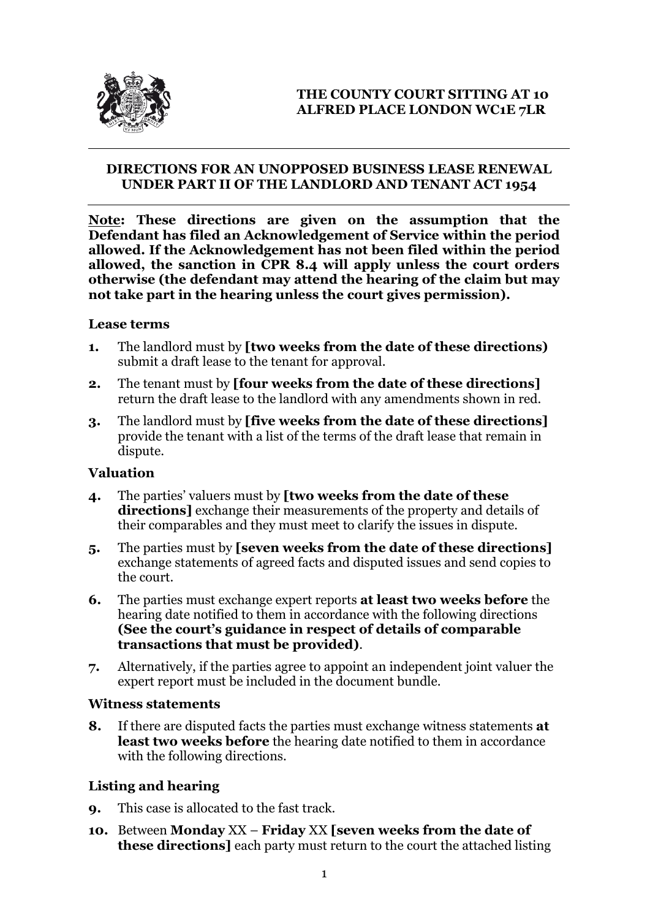

# **DIRECTIONS FOR AN UNOPPOSED BUSINESS LEASE RENEWAL UNDER PART II OF THE LANDLORD AND TENANT ACT 1954**

**Note: These directions are given on the assumption that the Defendant has filed an Acknowledgement of Service within the period allowed. If the Acknowledgement has not been filed within the period allowed, the sanction in CPR 8.4 will apply unless the court orders otherwise (the defendant may attend the hearing of the claim but may not take part in the hearing unless the court gives permission).**

### **Lease terms**

- **1.** The landlord must by **[two weeks from the date of these directions)**  submit a draft lease to the tenant for approval.
- **2.** The tenant must by **[four weeks from the date of these directions]** return the draft lease to the landlord with any amendments shown in red.
- **3.** The landlord must by **[five weeks from the date of these directions]** provide the tenant with a list of the terms of the draft lease that remain in dispute.

## **Valuation**

- **4.** The parties' valuers must by **[two weeks from the date of these directions]** exchange their measurements of the property and details of their comparables and they must meet to clarify the issues in dispute.
- **5.** The parties must by **[seven weeks from the date of these directions]** exchange statements of agreed facts and disputed issues and send copies to the court.
- **6.** The parties must exchange expert reports **at least two weeks before** the hearing date notified to them in accordance with the following directions **(See the court's guidance in respect of details of comparable transactions that must be provided)**.
- **7.** Alternatively, if the parties agree to appoint an independent joint valuer the expert report must be included in the document bundle.

#### **Witness statements**

**8.** If there are disputed facts the parties must exchange witness statements **at least two weeks before** the hearing date notified to them in accordance with the following directions.

## **Listing and hearing**

- **9.** This case is allocated to the fast track.
- **10.** Between **Monday** XX **Friday** XX **[seven weeks from the date of these directions]** each party must return to the court the attached listing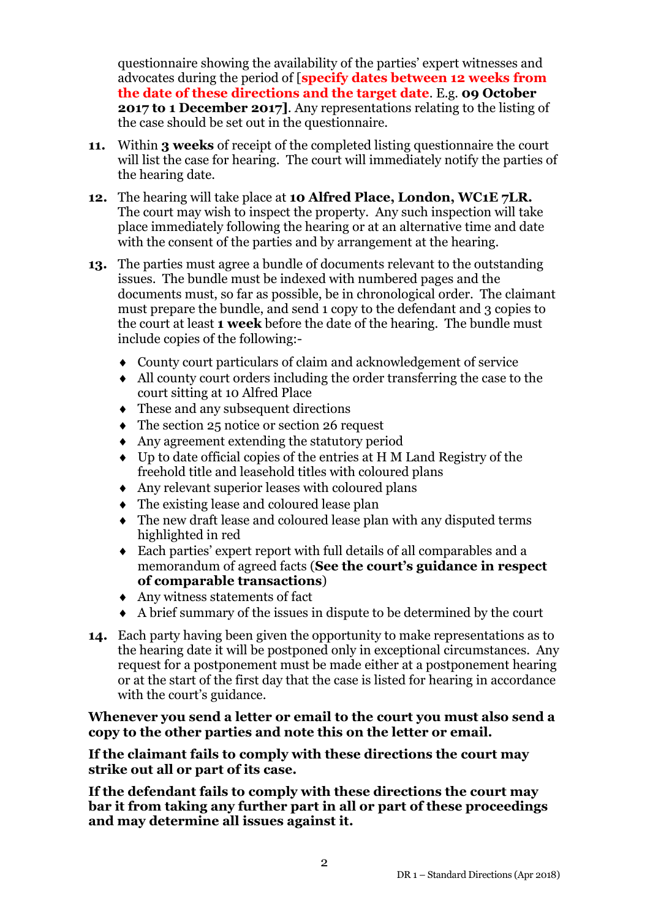questionnaire showing the availability of the parties' expert witnesses and advocates during the period of [**specify dates between 12 weeks from the date of these directions and the target date**. E.g. **09 October 2017 to 1 December 2017]***.* Any representations relating to the listing of the case should be set out in the questionnaire.

- **11.** Within **3 weeks** of receipt of the completed listing questionnaire the court will list the case for hearing. The court will immediately notify the parties of the hearing date.
- **12.** The hearing will take place at **10 Alfred Place, London, WC1E 7LR.** The court may wish to inspect the property. Any such inspection will take place immediately following the hearing or at an alternative time and date with the consent of the parties and by arrangement at the hearing.
- **13.** The parties must agree a bundle of documents relevant to the outstanding issues. The bundle must be indexed with numbered pages and the documents must, so far as possible, be in chronological order. The claimant must prepare the bundle, and send 1 copy to the defendant and 3 copies to the court at least **1 week** before the date of the hearing. The bundle must include copies of the following:-
	- County court particulars of claim and acknowledgement of service
	- All county court orders including the order transferring the case to the court sitting at 10 Alfred Place
	- These and any subsequent directions
	- The section 25 notice or section 26 request
	- Any agreement extending the statutory period
	- Up to date official copies of the entries at H M Land Registry of the freehold title and leasehold titles with coloured plans
	- Any relevant superior leases with coloured plans
	- The existing lease and coloured lease plan
	- The new draft lease and coloured lease plan with any disputed terms highlighted in red
	- Each parties' expert report with full details of all comparables and a memorandum of agreed facts (**See the court's guidance in respect of comparable transactions**)
	- ◆ Any witness statements of fact
	- A brief summary of the issues in dispute to be determined by the court
- **14.** Each party having been given the opportunity to make representations as to the hearing date it will be postponed only in exceptional circumstances. Any request for a postponement must be made either at a postponement hearing or at the start of the first day that the case is listed for hearing in accordance with the court's guidance.

**Whenever you send a letter or email to the court you must also send a copy to the other parties and note this on the letter or email.**

**If the claimant fails to comply with these directions the court may strike out all or part of its case.**

**If the defendant fails to comply with these directions the court may bar it from taking any further part in all or part of these proceedings and may determine all issues against it.**